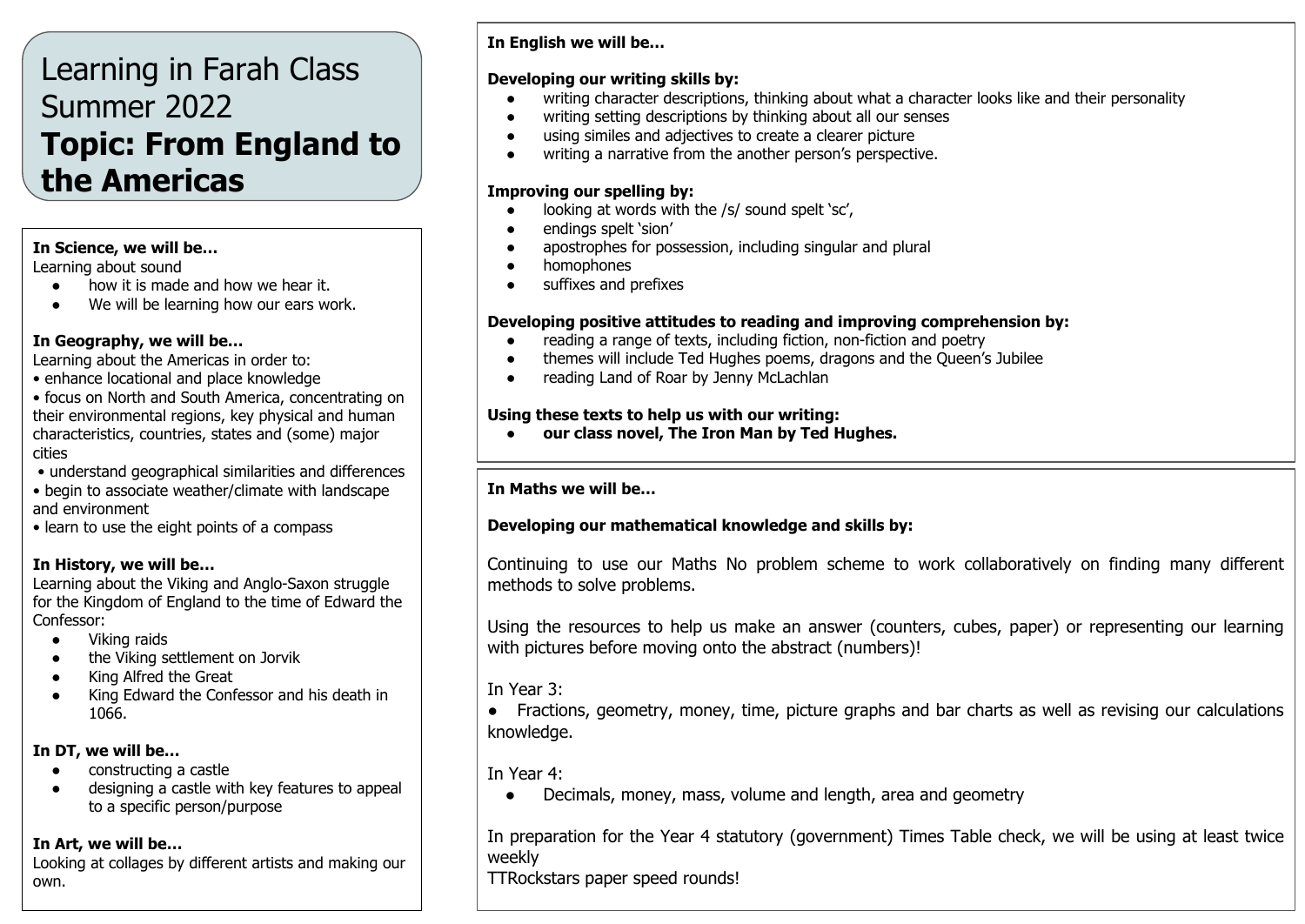# Learning in Farah Class Summer 2022 **Topic: From England to the Americas**

#### **In Science, we will be…**

Learning about sound

- how it is made and how we hear it.
- We will be learning how our ears work.

#### **In Geography, we will be…**

Learning about the Americas in order to:

• enhance locational and place knowledge

• focus on North and South America, concentrating on their environmental regions, key physical and human characteristics, countries, states and (some) major cities

- understand geographical similarities and differences
- begin to associate weather/climate with landscape and environment
- learn to use the eight points of a compass

### **In History, we will be…**

Learning about the Viking and Anglo-Saxon struggle for the Kingdom of England to the time of Edward the Confessor:

- Viking raids
- the Viking settlement on Jorvik
- King Alfred the Great
- King Edward the Confessor and his death in 1066.

# **In DT, we will be…**

- constructing a castle
- designing a castle with key features to appeal to a specific person/purpose

### **In Art, we will be…**

Looking at collages by different artists and making our own.

# **In English we will be…**

### **Developing our writing skills by:**

- writing character descriptions, thinking about what a character looks like and their personality
- writing setting descriptions by thinking about all our senses
- using similes and adjectives to create a clearer picture
- writing a narrative from the another person's perspective.

### **Improving our spelling by:**

- $\bullet$  looking at words with the /s/ sound spelt 'sc',
- endings spelt 'sion'
- apostrophes for possession, including singular and plural
- homophones
- suffixes and prefixes

# **Developing positive attitudes to reading and improving comprehension by:**

- reading a range of texts, including fiction, non-fiction and poetry
- themes will include Ted Hughes poems, dragons and the Queen's Jubilee
- reading Land of Roar by Jenny McLachlan

### **Using these texts to help us with our writing:**

**● our class novel, The Iron Man by Ted Hughes.**

### **In Maths we will be…**

# **Developing our mathematical knowledge and skills by:**

Continuing to use our Maths No problem scheme to work collaboratively on finding many different methods to solve problems.

Using the resources to help us make an answer (counters, cubes, paper) or representing our learning with pictures before moving onto the abstract (numbers)!

In Year 3:

● Fractions, geometry, money, time, picture graphs and bar charts as well as revising our calculations knowledge.

In Year 4:

• Decimals, money, mass, volume and length, area and geometry

In preparation for the Year 4 statutory (government) Times Table check, we will be using at least twice weekly

TTRockstars paper speed rounds!